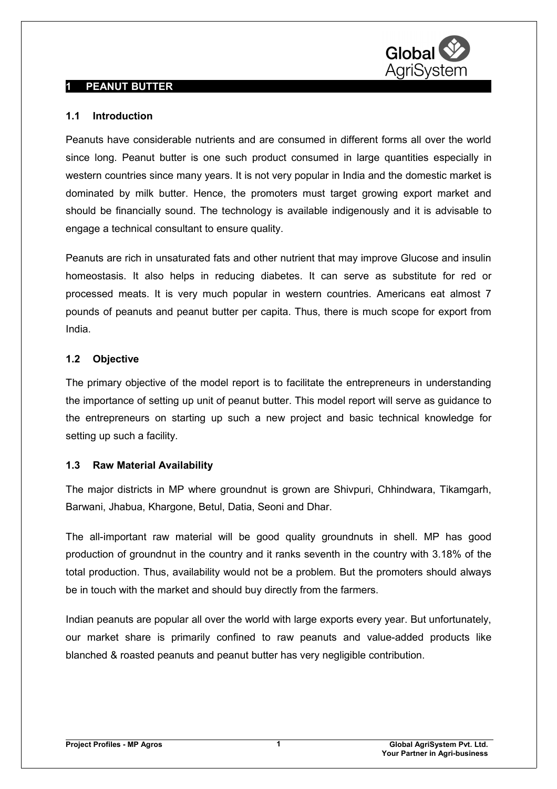

## **1 PEANUT BUTTER**

## **1.1 Introduction**

Peanuts have considerable nutrients and are consumed in different forms all over the world since long. Peanut butter is one such product consumed in large quantities especially in western countries since many years. It is not very popular in India and the domestic market is dominated by milk butter. Hence, the promoters must target growing export market and should be financially sound. The technology is available indigenously and it is advisable to engage a technical consultant to ensure quality.

Peanuts are rich in unsaturated fats and other nutrient that may improve Glucose and insulin homeostasis. It also helps in reducing diabetes. It can serve as substitute for red or processed meats. It is very much popular in western countries. Americans eat almost 7 pounds of peanuts and peanut butter per capita. Thus, there is much scope for export from India.

## **1.2 Objective**

The primary objective of the model report is to facilitate the entrepreneurs in understanding the importance of setting up unit of peanut butter. This model report will serve as guidance to the entrepreneurs on starting up such a new project and basic technical knowledge for setting up such a facility.

## **1.3 Raw Material Availability**

The major districts in MP where groundnut is grown are Shivpuri, Chhindwara, Tikamgarh, Barwani, Jhabua, Khargone, Betul, Datia, Seoni and Dhar.

The all-important raw material will be good quality groundnuts in shell. MP has good production of groundnut in the country and it ranks seventh in the country with 3.18% of the total production. Thus, availability would not be a problem. But the promoters should always be in touch with the market and should buy directly from the farmers.

Indian peanuts are popular all over the world with large exports every year. But unfortunately, our market share is primarily confined to raw peanuts and value-added products like blanched & roasted peanuts and peanut butter has very negligible contribution.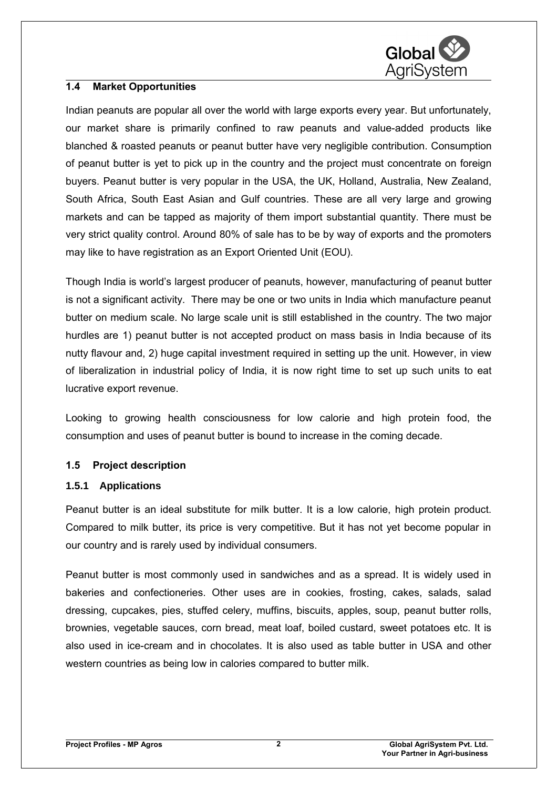

## **1.4 Market Opportunities**

Indian peanuts are popular all over the world with large exports every year. But unfortunately, our market share is primarily confined to raw peanuts and value-added products like blanched & roasted peanuts or peanut butter have very negligible contribution. Consumption of peanut butter is yet to pick up in the country and the project must concentrate on foreign buyers. Peanut butter is very popular in the USA, the UK, Holland, Australia, New Zealand, South Africa, South East Asian and Gulf countries. These are all very large and growing markets and can be tapped as majority of them import substantial quantity. There must be very strict quality control. Around 80% of sale has to be by way of exports and the promoters may like to have registration as an Export Oriented Unit (EOU).

Though India is world's largest producer of peanuts, however, manufacturing of peanut butter is not a significant activity. There may be one or two units in India which manufacture peanut butter on medium scale. No large scale unit is still established in the country. The two major hurdles are 1) peanut butter is not accepted product on mass basis in India because of its nutty flavour and, 2) huge capital investment required in setting up the unit. However, in view of liberalization in industrial policy of India, it is now right time to set up such units to eat lucrative export revenue.

Looking to growing health consciousness for low calorie and high protein food, the consumption and uses of peanut butter is bound to increase in the coming decade.

## **1.5 Project description**

## **1.5.1 Applications**

Peanut butter is an ideal substitute for milk butter. It is a low calorie, high protein product. Compared to milk butter, its price is very competitive. But it has not yet become popular in our country and is rarely used by individual consumers.

Peanut butter is most commonly used in sandwiches and as a spread. It is widely used in bakeries and confectioneries. Other uses are in cookies, frosting, cakes, salads, salad dressing, cupcakes, pies, stuffed celery, muffins, biscuits, apples, soup, peanut butter rolls, brownies, vegetable sauces, corn bread, meat loaf, boiled custard, sweet potatoes etc. It is also used in ice-cream and in chocolates. It is also used as table butter in USA and other western countries as being low in calories compared to butter milk.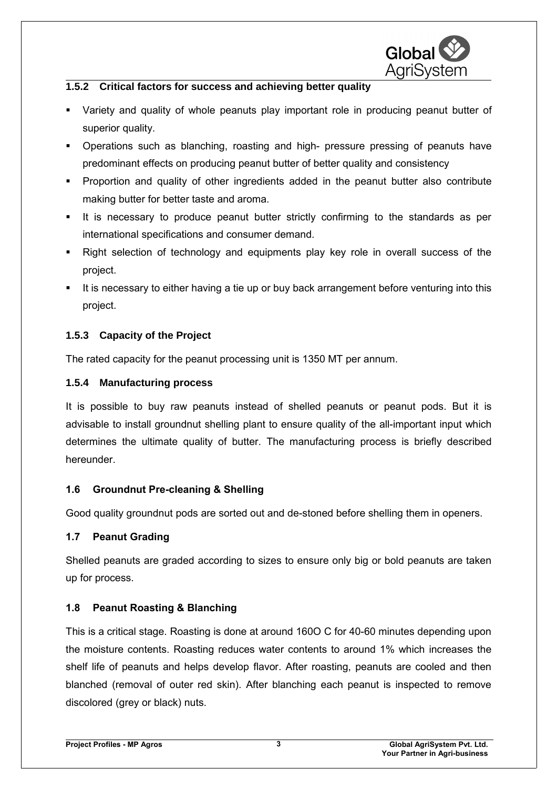

## **1.5.2 Critical factors for success and achieving better quality**

- Variety and quality of whole peanuts play important role in producing peanut butter of superior quality.
- Operations such as blanching, roasting and high- pressure pressing of peanuts have predominant effects on producing peanut butter of better quality and consistency
- Proportion and quality of other ingredients added in the peanut butter also contribute making butter for better taste and aroma.
- It is necessary to produce peanut butter strictly confirming to the standards as per international specifications and consumer demand.
- Right selection of technology and equipments play key role in overall success of the project.
- It is necessary to either having a tie up or buy back arrangement before venturing into this project.

## **1.5.3 Capacity of the Project**

The rated capacity for the peanut processing unit is 1350 MT per annum.

## **1.5.4 Manufacturing process**

It is possible to buy raw peanuts instead of shelled peanuts or peanut pods. But it is advisable to install groundnut shelling plant to ensure quality of the all-important input which determines the ultimate quality of butter. The manufacturing process is briefly described hereunder.

## **1.6 Groundnut Pre-cleaning & Shelling**

Good quality groundnut pods are sorted out and de-stoned before shelling them in openers.

## **1.7 Peanut Grading**

Shelled peanuts are graded according to sizes to ensure only big or bold peanuts are taken up for process.

# **1.8 Peanut Roasting & Blanching**

This is a critical stage. Roasting is done at around 160O C for 40-60 minutes depending upon the moisture contents. Roasting reduces water contents to around 1% which increases the shelf life of peanuts and helps develop flavor. After roasting, peanuts are cooled and then blanched (removal of outer red skin). After blanching each peanut is inspected to remove discolored (grey or black) nuts.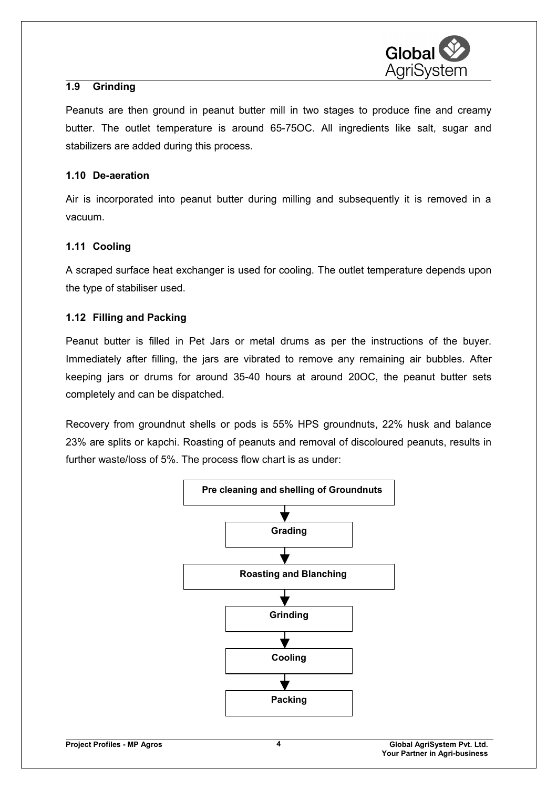

## **1.9 Grinding**

Peanuts are then ground in peanut butter mill in two stages to produce fine and creamy butter. The outlet temperature is around 65-75OC. All ingredients like salt, sugar and stabilizers are added during this process.

## **1.10 De-aeration**

Air is incorporated into peanut butter during milling and subsequently it is removed in a vacuum.

## **1.11 Cooling**

A scraped surface heat exchanger is used for cooling. The outlet temperature depends upon the type of stabiliser used.

## **1.12 Filling and Packing**

Peanut butter is filled in Pet Jars or metal drums as per the instructions of the buyer. Immediately after filling, the jars are vibrated to remove any remaining air bubbles. After keeping jars or drums for around 35-40 hours at around 20OC, the peanut butter sets completely and can be dispatched.

Recovery from groundnut shells or pods is 55% HPS groundnuts, 22% husk and balance 23% are splits or kapchi. Roasting of peanuts and removal of discoloured peanuts, results in further waste/loss of 5%. The process flow chart is as under:

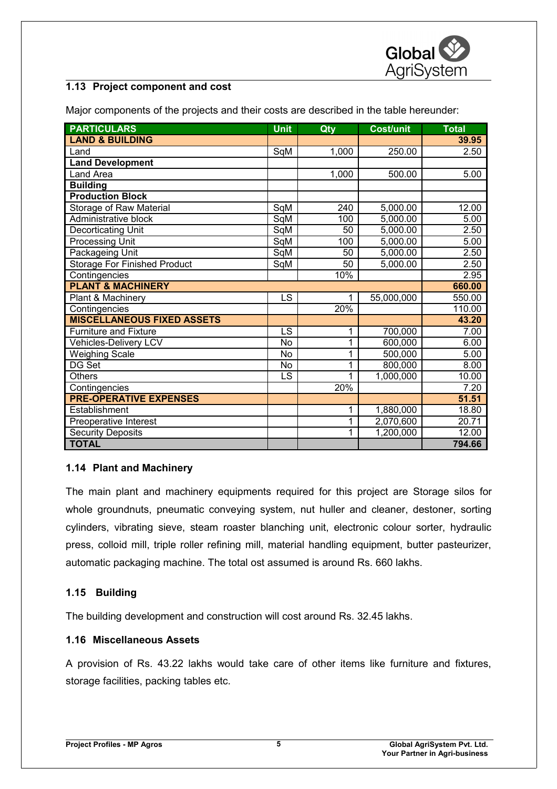

## **1.13 Project component and cost**

Major components of the projects and their costs are described in the table hereunder:

| <b>PARTICULARS</b>                  | <b>Unit</b> | Qty   | <b>Cost/unit</b> | <b>Total</b> |
|-------------------------------------|-------------|-------|------------------|--------------|
| <b>LAND &amp; BUILDING</b>          |             |       |                  | 39.95        |
| Land                                | SqM         | 1,000 | 250.00           | 2.50         |
| <b>Land Development</b>             |             |       |                  |              |
| Land Area                           |             | 1,000 | 500.00           | 5.00         |
| <b>Building</b>                     |             |       |                  |              |
| <b>Production Block</b>             |             |       |                  |              |
| Storage of Raw Material             | SqM         | 240   | 5,000.00         | 12.00        |
| Administrative block                | SqM         | 100   | 5,000.00         | 5.00         |
| Decorticating Unit                  | SqM         | 50    | 5,000.00         | 2.50         |
| <b>Processing Unit</b>              | SqM         | 100   | 5,000.00         | 5.00         |
| Packageing Unit                     | SqM         | 50    | 5,000.00         | 2.50         |
| <b>Storage For Finished Product</b> | SqM         | 50    | 5,000.00         | 2.50         |
| Contingencies                       |             | 10%   |                  | 2.95         |
| <b>PLANT &amp; MACHINERY</b>        |             |       |                  | 660.00       |
| Plant & Machinery                   | <b>LS</b>   | 1     | 55,000,000       | 550.00       |
| Contingencies                       |             | 20%   |                  | 110.00       |
| <b>MISCELLANEOUS FIXED ASSETS</b>   |             |       |                  | 43.20        |
| <b>Furniture and Fixture</b>        | LS          | 1     | 700,000          | 7.00         |
| Vehicles-Delivery LCV               | <b>No</b>   | 1     | 600,000          | 6.00         |
| <b>Weighing Scale</b>               | <b>No</b>   | 1     | 500,000          | 5.00         |
| DG Set                              | <b>No</b>   | 1     | 800,000          | 8.00         |
| <b>Others</b>                       | LS          | 1     | 1,000,000        | 10.00        |
| Contingencies                       |             | 20%   |                  | 7.20         |
| <b>PRE-OPERATIVE EXPENSES</b>       |             |       |                  | 51.51        |
| Establishment                       |             | 1     | 1,880,000        | 18.80        |
| Preoperative Interest               |             | 1     | 2,070,600        | 20.71        |
| <b>Security Deposits</b>            |             | 1     | 1,200,000        | 12.00        |
| <b>TOTAL</b>                        |             |       |                  | 794.66       |

## **1.14 Plant and Machinery**

The main plant and machinery equipments required for this project are Storage silos for whole groundnuts, pneumatic conveying system, nut huller and cleaner, destoner, sorting cylinders, vibrating sieve, steam roaster blanching unit, electronic colour sorter, hydraulic press, colloid mill, triple roller refining mill, material handling equipment, butter pasteurizer, automatic packaging machine. The total ost assumed is around Rs. 660 lakhs.

## **1.15 Building**

The building development and construction will cost around Rs. 32.45 lakhs.

## **1.16 Miscellaneous Assets**

A provision of Rs. 43.22 lakhs would take care of other items like furniture and fixtures, storage facilities, packing tables etc.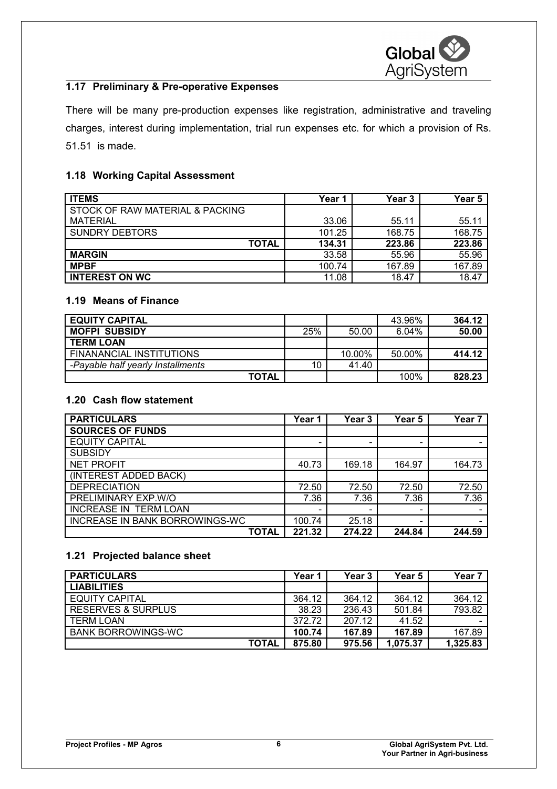

## **1.17 Preliminary & Pre-operative Expenses**

There will be many pre-production expenses like registration, administrative and traveling charges, interest during implementation, trial run expenses etc. for which a provision of Rs. 51.51 is made.

## **1.18 Working Capital Assessment**

| <b>ITEMS</b>                    | Year 1 | <b>Year 3</b> | Year 5 |
|---------------------------------|--------|---------------|--------|
| STOCK OF RAW MATERIAL & PACKING |        |               |        |
| <b>MATERIAL</b>                 | 33.06  | 55.11         | 55.11  |
| <b>SUNDRY DEBTORS</b>           | 101.25 | 168.75        | 168.75 |
| <b>TOTAL</b>                    | 134.31 | 223.86        | 223.86 |
| <b>MARGIN</b>                   | 33.58  | 55.96         | 55.96  |
| <b>MPBF</b>                     | 100.74 | 167.89        | 167.89 |
| <b>INTEREST ON WC</b>           | 11.08  | 18.47         | 18.47  |

## **1.19 Means of Finance**

| <b>EQUITY CAPITAL</b>             |     |        | 43.96% | 364.12 |
|-----------------------------------|-----|--------|--------|--------|
| <b>MOFPI SUBSIDY</b>              | 25% | 50.00  | 6.04%  | 50.00  |
| <b>TERM LOAN</b>                  |     |        |        |        |
| FINANANCIAL INSTITUTIONS          |     | 10.00% | 50.00% | 414.12 |
| -Payable half yearly Installments | 10  | 41.40  |        |        |
| <b>TOTAL</b>                      |     |        | 100%   | 828.23 |

## **1.20 Cash flow statement**

| <b>PARTICULARS</b>             | Year 1                   | Year 3                   | Year 5 | Year 7 |
|--------------------------------|--------------------------|--------------------------|--------|--------|
| <b>SOURCES OF FUNDS</b>        |                          |                          |        |        |
| <b>EQUITY CAPITAL</b>          | $\overline{\phantom{0}}$ | $\overline{\phantom{0}}$ |        |        |
| <b>SUBSIDY</b>                 |                          |                          |        |        |
| <b>NET PROFIT</b>              | 40.73                    | 169.18                   | 164.97 | 164.73 |
| (INTEREST ADDED BACK)          |                          |                          |        |        |
| <b>DEPRECIATION</b>            | 72.50                    | 72.50                    | 72.50  | 72.50  |
| PRELIMINARY EXP.W/O            | 7.36                     | 7.36                     | 7.36   | 7.36   |
| <b>INCREASE IN TERM LOAN</b>   | -                        | -                        | -      |        |
| INCREASE IN BANK BORROWINGS-WC | 100.74                   | 25.18                    |        |        |
| TOTAL                          | 221.32                   | 274.22                   | 244.84 | 244.59 |

## **1.21 Projected balance sheet**

| <b>PARTICULARS</b>        | Year 1 | Year 3 | Year 5   | Year <sub>7</sub> |
|---------------------------|--------|--------|----------|-------------------|
| <b>LIABILITIES</b>        |        |        |          |                   |
| <b>EQUITY CAPITAL</b>     | 364.12 | 364.12 | 364.12   | 364.12            |
| RESERVES & SURPLUS        | 38.23  | 236.43 | 501.84   | 793.82            |
| <b>TERM LOAN</b>          | 372.72 | 207.12 | 41.52    |                   |
| <b>BANK BORROWINGS-WC</b> | 100.74 | 167.89 | 167.89   | 167.89            |
| TOTAL                     | 875.80 | 975.56 | 1,075.37 | 1,325.83          |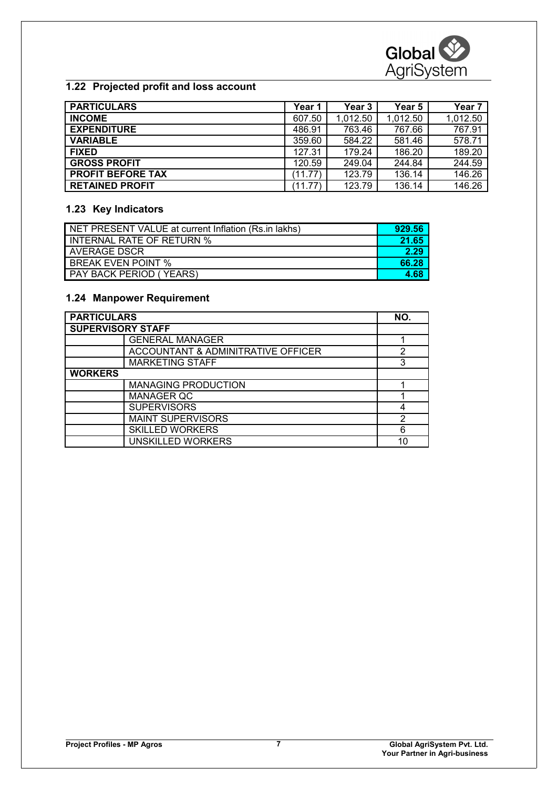## **1.22 Projected profit and loss account**

| <b>PARTICULARS</b>       | Year 1  | Year 3   | Year 5   | Year <sub>7</sub> |
|--------------------------|---------|----------|----------|-------------------|
| <b>INCOME</b>            | 607.50  | 1.012.50 | 1,012.50 | 1,012.50          |
| <b>EXPENDITURE</b>       | 486.91  | 763.46   | 767.66   | 767.91            |
| <b>VARIABLE</b>          | 359.60  | 584.22   | 581.46   | 578.71            |
| <b>FIXED</b>             | 127.31  | 179.24   | 186.20   | 189.20            |
| <b>GROSS PROFIT</b>      | 120.59  | 249.04   | 244.84   | 244.59            |
| <b>PROFIT BEFORE TAX</b> | (11.77) | 123.79   | 136.14   | 146.26            |
| <b>RETAINED PROFIT</b>   | (11.77) | 123.79   | 136.14   | 146.26            |

## **1.23 Key Indicators**

| NET PRESENT VALUE at current Inflation (Rs.in lakhs) | 929.56 |
|------------------------------------------------------|--------|
| INTERNAL RATE OF RETURN %                            | 21.65  |
| AVERAGE DSCR                                         | 2.29   |
| <b>BREAK EVEN POINT %</b>                            | 66.28  |
| PAY BACK PERIOD (YEARS)                              | 4.68   |

#### **1.24 Manpower Requirement**

| <b>PARTICULARS</b>                 | NO. |
|------------------------------------|-----|
| <b>SUPERVISORY STAFF</b>           |     |
| <b>GENERAL MANAGER</b>             |     |
| ACCOUNTANT & ADMINITRATIVE OFFICER | 2   |
| <b>MARKETING STAFF</b>             | 3   |
| <b>WORKERS</b>                     |     |
| <b>MANAGING PRODUCTION</b>         |     |
| <b>MANAGER QC</b>                  |     |
| <b>SUPERVISORS</b>                 |     |
| <b>MAINT SUPERVISORS</b>           | 2   |
| <b>SKILLED WORKERS</b>             | 6   |
| UNSKILLED WORKERS                  | 10  |